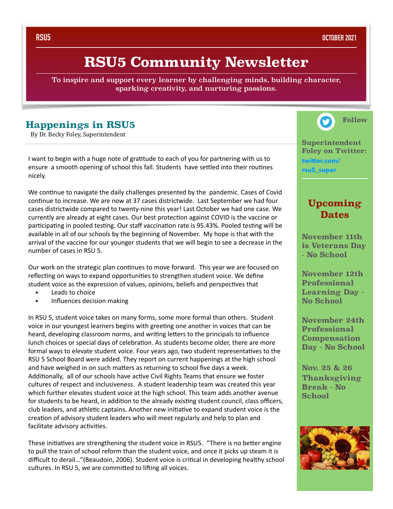**RSU5 OCTOBER 2021**

## **RSU5 Community Newsletter**

To inspire and support every learner by challenging minds, building character, sparking creativity, and nurturing passions.

## **Happenings in RSU5**

By Dr. Becky Foley, Superintendent

I want to begin with a huge note of gratitude to each of you for partnering with us to ensure a smooth opening of school this fall. Students have settled into their routines nicely. 

We continue to navigate the daily challenges presented by the pandemic. Cases of Covid continue to increase. We are now at 37 cases districtwide. Last September we had four cases districtwide compared to twenty-nine this year! Last October we had one case. We currently are already at eight cases. Our best protection against COVID is the vaccine or participating in pooled testing. Our staff vaccination rate is 95.43%. Pooled testing will be available in all of our schools by the beginning of November. My hope is that with the arrival of the vaccine for our younger students that we will begin to see a decrease in the number of cases in RSU 5.

Our work on the strategic plan continues to move forward. This year we are focused on reflecting on ways to expand opportunities to strengthen student voice. We define student voice as the expression of values, opinions, beliefs and perspectives that

- Leads to choice
- Influences decision making

In RSU 5, student voice takes on many forms, some more formal than others. Student voice in our youngest learners begins with greeting one another in voices that can be heard, developing classroom norms, and writing letters to the principals to influence lunch choices or special days of celebration. As students become older, there are more formal ways to elevate student voice. Four years ago, two student representatives to the RSU 5 School Board were added. They report on current happenings at the high school and have weighed in on such matters as returning to school five days a week. Additionally, all of our schools have active Civil Rights Teams that ensure we foster cultures of respect and inclusiveness. A student leadership team was created this year which further elevates student voice at the high school. This team adds another avenue for students to be heard, in addition to the already existing student council, class officers, club leaders, and athletic captains. Another new initiative to expand student voice is the creation of advisory student leaders who will meet regularly and help to plan and facilitate advisory activities.

These initiatives are strengthening the student voice in RSU5. "There is no better engine to pull the train of school reform than the student voice, and once it picks up steam it is difficult to derail..."(Beaudoin, 2006). Student voice is critical in developing healthy school cultures. In RSU 5, we are committed to lifting all voices.



**Superintendent Foley on Twitter: [twitter.com/](http://twitter.com/rsu5_super) [rsu5\\_super](http://twitter.com/rsu5_super)**

## **Upcoming Dates**

**November 11th is Veterans Day - No School** 

**November 12th Professional Learning Day - No School**

**November 24th Professional Compensation Day - No School** 

**Nov. 25 & 26 Thanksgiving Break - No School**

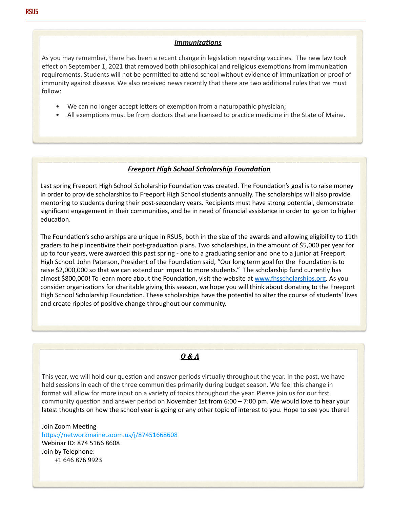#### *Immunizations*

As you may remember, there has been a recent change in legislation regarding vaccines. The new law took effect on September 1, 2021 that removed both philosophical and religious exemptions from immunization requirements. Students will not be permitted to attend school without evidence of immunization or proof of immunity against disease. We also received news recently that there are two additional rules that we must follow:

- We can no longer accept letters of exemption from a naturopathic physician;
- All exemptions must be from doctors that are licensed to practice medicine in the State of Maine.

#### **Freeport High School Scholarship Foundation**

Last spring Freeport High School Scholarship Foundation was created. The Foundation's goal is to raise money in order to provide scholarships to Freeport High School students annually. The scholarships will also provide mentoring to students during their post-secondary years. Recipients must have strong potential, demonstrate significant engagement in their communities, and be in need of financial assistance in order to go on to higher education.

The Foundation's scholarships are unique in RSU5, both in the size of the awards and allowing eligibility to 11th graders to help incentivize their post-graduation plans. Two scholarships, in the amount of \$5,000 per year for up to four years, were awarded this past spring - one to a graduating senior and one to a junior at Freeport High School. John Paterson, President of the Foundation said, "Our long term goal for the Foundation is to raise \$2,000,000 so that we can extend our impact to more students." The scholarship fund currently has almost \$800,000! To learn more about the Foundation, visit the website at www.fhsscholarships.org. As you consider organizations for charitable giving this season, we hope you will think about donating to the Freeport High School Scholarship Foundation. These scholarships have the potential to alter the course of students' lives and create ripples of positive change throughout our community.

#### *Q & A*

This year, we will hold our question and answer periods virtually throughout the year. In the past, we have held sessions in each of the three communities primarily during budget season. We feel this change in format will allow for more input on a variety of topics throughout the year. Please join us for our first community question and answer period on November 1st from  $6:00 - 7:00$  pm. We would love to hear your latest thoughts on how the school year is going or any other topic of interest to you. Hope to see you there!

Join Zoom Meeting https://networkmaine.zoom.us/j/87451668608 Webinar ID: 874 5166 8608 Join by Telephone: +1 646 876 9923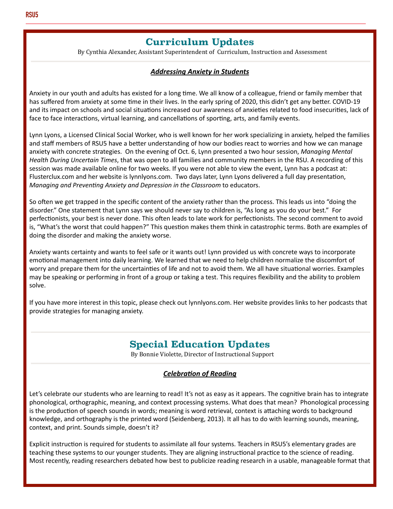## **Curriculum Updates**

By Cynthia Alexander, Assistant Superintendent of Curriculum, Instruction and Assessment

#### **Addressing Anxiety in Students**

Anxiety in our youth and adults has existed for a long time. We all know of a colleague, friend or family member that has suffered from anxiety at some time in their lives. In the early spring of 2020, this didn't get any better. COVID-19 and its impact on schools and social situations increased our awareness of anxieties related to food insecurities, lack of face to face interactions, virtual learning, and cancellations of sporting, arts, and family events.

Lynn Lyons, a Licensed Clinical Social Worker, who is well known for her work specializing in anxiety, helped the families and staff members of RSU5 have a better understanding of how our bodies react to worries and how we can manage anxiety with concrete strategies. On the evening of Oct. 6, Lynn presented a two hour session, *Managing Mental Health During Uncertain Times*, that was open to all families and community members in the RSU. A recording of this session was made available online for two weeks. If you were not able to view the event, Lynn has a podcast at: Flusterclux.com and her website is lynnlyons.com. Two days later, Lynn Lyons delivered a full day presentation, *Managing and Preventing Anxiety and Depression in the Classroom to educators.* 

So often we get trapped in the specific content of the anxiety rather than the process. This leads us into "doing the disorder." One statement that Lynn says we should never say to children is, "As long as you do your best." For perfectionists, your best is never done. This often leads to late work for perfectionists. The second comment to avoid is, "What's the worst that could happen?" This question makes them think in catastrophic terms. Both are examples of doing the disorder and making the anxiety worse.

Anxiety wants certainty and wants to feel safe or it wants out! Lynn provided us with concrete ways to incorporate emotional management into daily learning. We learned that we need to help children normalize the discomfort of worry and prepare them for the uncertainties of life and not to avoid them. We all have situational worries. Examples may be speaking or performing in front of a group or taking a test. This requires flexibility and the ability to problem solve. 

If you have more interest in this topic, please check out lynnlyons.com. Her website provides links to her podcasts that provide strategies for managing anxiety.

## **Special Education Updates**

By Bonnie Violette, Director of Instructional Support

### **Celebration of Reading**

Let's celebrate our students who are learning to read! It's not as easy as it appears. The cognitive brain has to integrate phonological, orthographic, meaning, and context processing systems. What does that mean? Phonological processing is the production of speech sounds in words; meaning is word retrieval, context is attaching words to background knowledge, and orthography is the printed word (Seidenberg, 2013). It all has to do with learning sounds, meaning, context, and print. Sounds simple, doesn't it?

Explicit instruction is required for students to assimilate all four systems. Teachers in RSU5's elementary grades are teaching these systems to our younger students. They are aligning instructional practice to the science of reading. Most recently, reading researchers debated how best to publicize reading research in a usable, manageable format that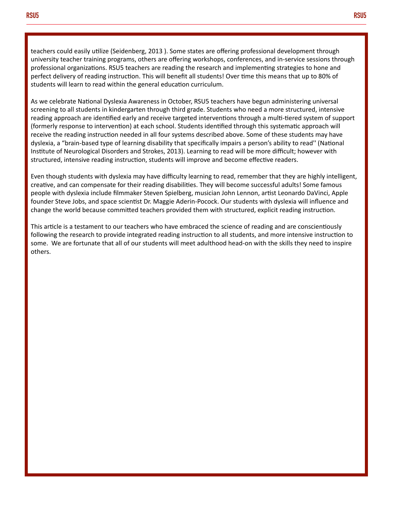teachers could easily utilize (Seidenberg, 2013 ). Some states are offering professional development through university teacher training programs, others are offering workshops, conferences, and in-service sessions through professional organizations. RSU5 teachers are reading the research and implementing strategies to hone and perfect delivery of reading instruction. This will benefit all students! Over time this means that up to 80% of students will learn to read within the general education curriculum.

As we celebrate National Dyslexia Awareness in October, RSU5 teachers have begun administering universal screening to all students in kindergarten through third grade. Students who need a more structured, intensive reading approach are identified early and receive targeted interventions through a multi-tiered system of support (formerly response to intervention) at each school. Students identified through this systematic approach will receive the reading instruction needed in all four systems described above. Some of these students may have dyslexia, a "brain-based type of learning disability that specifically impairs a person's ability to read" (National Institute of Neurological Disorders and Strokes, 2013). Learning to read will be more difficult; however with structured, intensive reading instruction, students will improve and become effective readers.

Even though students with dyslexia may have difficulty learning to read, remember that they are highly intelligent, creative, and can compensate for their reading disabilities. They will become successful adults! Some famous people with dyslexia include filmmaker Steven Spielberg, musician John Lennon, artist Leonardo DaVinci, Apple founder Steve Jobs, and space scientist Dr. Maggie Aderin-Pocock. Our students with dyslexia will influence and change the world because committed teachers provided them with structured, explicit reading instruction.

This article is a testament to our teachers who have embraced the science of reading and are conscientiously following the research to provide integrated reading instruction to all students, and more intensive instruction to some. We are fortunate that all of our students will meet adulthood head-on with the skills they need to inspire others.